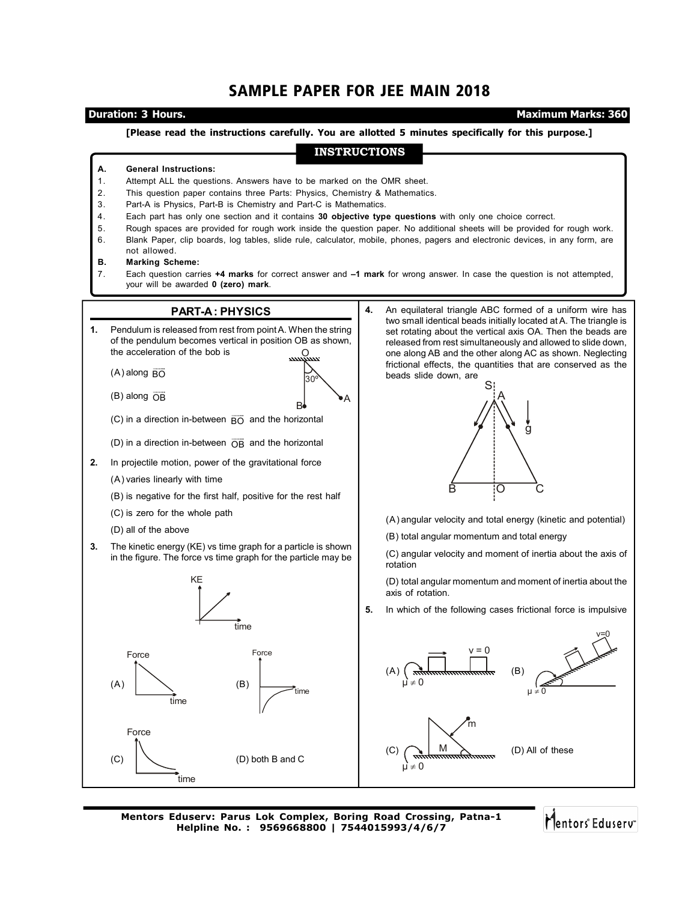# SAMPLE PAPER FOR JEE MAIN 2018

**Duration: 3 Hours. Maximum Marks: 360** 

## **[Please read the instructions carefully. You are allotted 5 minutes specifically for this purpose.]**

# **INSTRUCTIONS**

### **A. General Instructions:**

- 1. Attempt ALL the questions. Answers have to be marked on the OMR sheet.
- 2. This question paper contains three Parts: Physics, Chemistry & Mathematics.
- 3. Part-A is Physics, Part-B is Chemistry and Part-C is Mathematics.
- 4. Each part has only one section and it contains **30 objective type questions** with only one choice correct.
- 5. Rough spaces are provided for rough work inside the question paper. No additional sheets will be provided for rough work.
- 6. Blank Paper, clip boards, log tables, slide rule, calculator, mobile, phones, pagers and electronic devices, in any form, are not allowed.

### **B. Marking Scheme:**

7. Each question carries **+4 marks** for correct answer and **–1 mark** for wrong answer. In case the question is not attempted, your will be awarded **0 (zero) mark**.



**Mentors Eduserv: Parus Lok Complex, Boring Road Crossing, Patna-1 Helpline No. : 9569668800 | 7544015993/4/6/7**

Mentors Eduserv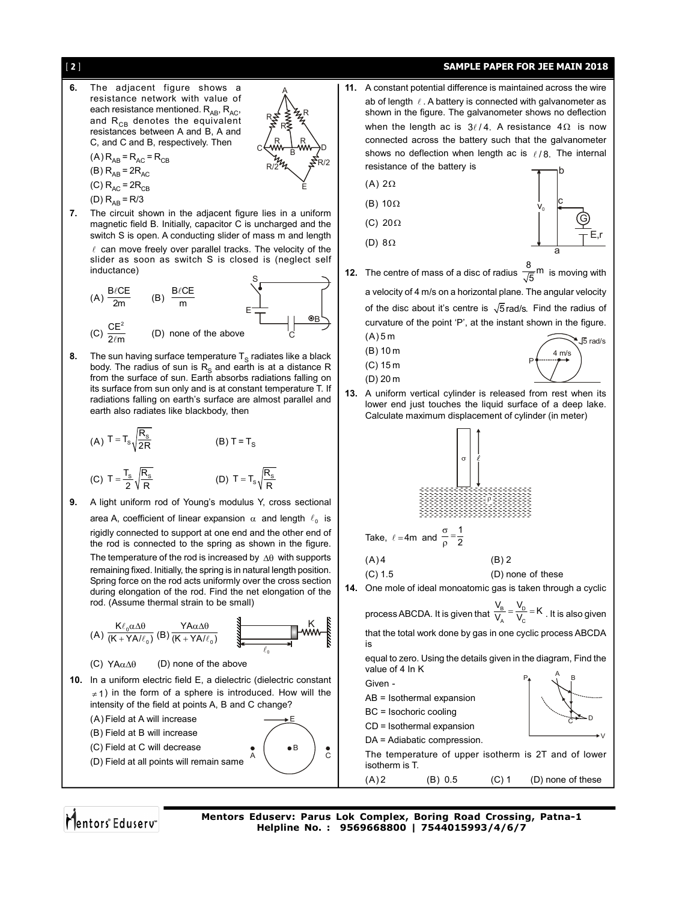# [ 2 ] **SAMPLE PAPER FOR JEE MAIN 2018**



**6.** The adjacent figure shows a resistance network with value of

each resistance mentioned.  $R_{AB}$ ,  $R_{AC}$ , R and  $R_{CB}$  denotes the equivalent R R resistances between A and B, A and C, and C and B, respectively. Then R R C<del>(</del>ww—<del>}</del> ww—)D B  $(A)$  R<sub>AB</sub> = R<sub>AC</sub> = R<sub>CB</sub>  $R/24\pi$   $S<sup>R/2</sup>$ (B)  $R_{AB} = 2R_{AC}$ (A)  $2\Omega$ (C)  $R_{AC}$  =  $2R_{CB}$ E (D)  $R_{AB} = R/3$ (B)  $10\Omega$ **7.** The circuit shown in the adjacent figure lies in a uniform (C) 20 $\Omega$ magnetic field B. Initially, capacitor C is uncharged and the switch S is open. A conducting slider of mass m and length (D)  $8\Omega$  $\ell$  can move freely over parallel tracks. The velocity of the slider as soon as switch S is closed is (neglect self inductance) S  $\frac{\ell CE}{2m}$  (B)  $\frac{B/\ell CE}{m}$  $\ell$  $(A) \frac{B/\text{CE}}{2m}$ 2m m E B  $(C)$   $\frac{CE^2}{2\pi}$ (D) none of the above C  $(A) 5 m$ (B) 10 m **8.** The sun having surface temperature  $T_S$  radiates like a black (C) 15 m body. The radius of sun is  $R<sub>S</sub>$  and earth is at a distance R from the surface of sun. Earth absorbs radiations falling on (D) 20 m its surface from sun only and is at constant temperature T. If radiations falling on earth's surface are almost parallel and earth also radiates like blackbody, then (A) T = T<sub>s</sub> $\sqrt{\frac{R_s}{25}}$  $(B) T = T_S$ (C) T =  $\frac{T_{\rm s}}{2} \sqrt{\frac{R_{\rm s}}{R}}$  $=\frac{T_s}{2}\sqrt{\frac{R_s}{R}}$  (D) T = T<sub>s</sub> $\sqrt{\frac{R_s}{R}}$ **9.** A light uniform rod of Young's modulus Y, cross sectional area A, coefficient of linear expansion  $\alpha$  and length  $\ell_0$  is rigidly connected to support at one end and the other end of the rod is connected to the spring as shown in the figure. The temperature of the rod is increased by  $\Delta\theta$  with supports remaining fixed. Initially, the spring is in natural length position. Spring force on the rod acts uniformly over the cross section during elongation of the rod. Find the net elongation of the rod. (Assume thermal strain to be small) K  $\frac{\ell_0 \alpha \Delta \theta}{\ell + YA/\ell_0}$  (B)  $\frac{YA\alpha \Delta \theta}{(K + YA/\ell_0)}$ K  $αΔθ$  $\alpha\Delta\theta$ (A)  $\frac{1.66 \text{ m/s}}{(K + YA/l_0)}$  $(K + YA/\ell_0)$  $(K + YA/\ell_0)$  $+ YA/\ell$  $^{+}$ is  $\ell_{\text{o}}$ (C)  $YA\alpha\Delta\theta$  (D) none of the above **10.** In a uniform electric field E, a dielectric (dielectric constant Given - $\neq$  1) in the form of a sphere is introduced. How will the intensity of the field at points A, B and C change? (A) Field at A will increase E (B) Field at B will increase (C) Field at C will decrease B A ( / C (D) Field at all points will remain same isotherm is T. Mentors Eduserv **Mentors Eduserv: Parus Lok Complex, Boring Road Crossing, Patna-1 Helpline No. : 9569668800 | 7544015993/4/6/7**

A

**11.** A constant potential difference is maintained across the wire ab of length  $\ell$ . A battery is connected with galvanometer as shown in the figure. The galvanometer shows no deflection when the length ac is  $3\ell/4$ . A resistance  $4\Omega$  is now connected across the battery such that the galvanometer shows no deflection when length ac is  $\ell/8$ . The internal resistance of the battery is G b c a E,r **12.** The centre of mass of a disc of radius  $\frac{8}{\sqrt{5}}$ <sup>m</sup> is moving with a velocity of 4 m/s on a horizontal plane. The angular velocity of the disc about it's centre is  $\sqrt{5}$  rad/s. Find the radius of curvature of the point 'P', at the instant shown in the figure.  $4 \text{ m/s}$ P 5 rad/s **13.** A uniform vertical cylinder is released from rest when its lower end just touches the liquid surface of a deep lake. Calculate maximum displacement of cylinder (in meter) - - - - - - - - - - - - - - - - - - - - - - - - - - - - - - - - - - - - - - - - - - - - - - - - - - - - - - - - - - - - - - - - - - - - - - - - - - - - - - - - - - - - - - - - - - - - - - - - - - - - - - - - - - - - - - - - - - - - - - - - - - - - - - - - - - - - - - - - - - - - - - - - - - - - - - - - - - - - - - - - - - - - - - - - - - - - - - - - - - - - - - - - - - - - - - - - - - - - - - - - - - - - - - - - - - - - - - - - - - - - - - - - - - - - - - - - - - - - - - - - - - - - - - - - - - - - - - - - - - - - - - - - - - - - - - - - - - - - - - - - - - - - - - - - - - - - - - - - - - - - - - - - - - - - - - - - - - - - - - - - - - - - - - - - - - - - - - - - - - - - - - - - - - - - - - - - - - - - - - - - - - - - - - - - - - - - - - - - - - - - - - - - - - - - - - - - - - - - - - - - - - - - - - - - - - - - - p Take,  $\ell = 4$ m and  $\frac{\sigma}{\Omega} = \frac{1}{2}$  $\frac{\sigma}{\rho} = \frac{1}{2}$  $(A) 4$  (B) 2 (C) 1.5 (D) none of these **14.** One mole of ideal monoatomic gas is taken through a cyclic process ABCDA. It is given that  $\frac{V_{\rm B}}{V_{\rm A}} = \frac{V_{\rm D}}{V_{\rm C}} = K$  . It is also given that the total work done by gas in one cyclic process ABCDA equal to zero. Using the details given in the diagram, Find the value of 4 In K V <sup>A</sup> <sup>B</sup> c ڪو⊾ج AB = Isothermal expansion BC = Isochoric cooling CD = Isothermal expansion DA = Adiabatic compression. The temperature of upper isotherm is 2T and of lower  $(A) 2$  (B) 0.5 (C) 1 (D) none of these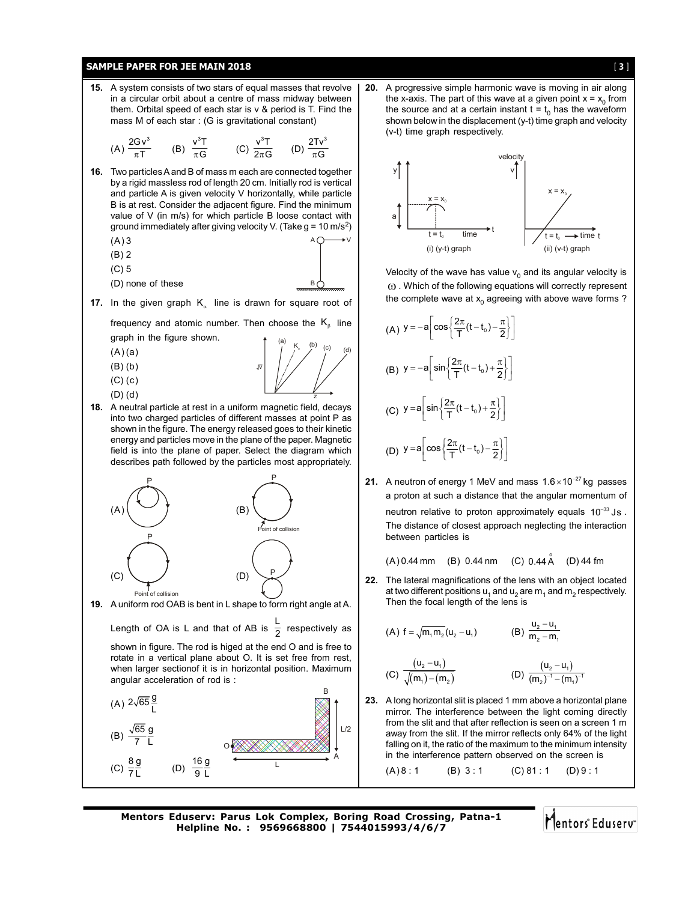# **SAMPLE PAPER FOR JEE MAIN 2018 Example 2018 Example 2018 Example 2018 Example 2018 Example 2018 Example 2018**



**20.** A progressive simple harmonic wave is moving in air along the x-axis. The part of this wave at a given point  $x = x_0$  from the source and at a certain instant  $t = t_0$  has the waveform shown below in the displacement (y-t) time graph and velocity (v-t) time graph respectively.



Velocity of the wave has value  $v_0$  and its angular velocity is  $\omega$ . Which of the following equations will correctly represent the complete wave at  $x_0$  agreeing with above wave forms ?

(A) 
$$
y = -a \left[ cos \left\{ \frac{2\pi}{T} (t - t_0) - \frac{\pi}{2} \right\} \right]
$$
  
\n(B)  $y = -a \left[ sin \left\{ \frac{2\pi}{T} (t - t_0) + \frac{\pi}{2} \right\} \right]$   
\n(C)  $y = a \left[ sin \left\{ \frac{2\pi}{T} (t - t_0) + \frac{\pi}{2} \right\} \right]$   
\n(D)  $y = a \left[ cos \left\{ \frac{2\pi}{T} (t - t_0) - \frac{\pi}{2} \right\} \right]$ 

**21.** A neutron of energy 1 MeV and mass  $1.6 \times 10^{-27}$  kg passes a proton at such a distance that the angular momentum of neutron relative to proton approximately equals  $10^{-33}$  Js .

The distance of closest approach neglecting the interaction between particles is

 $(A)$  0.44 mm (B) 0.44 nm (C) 0.44 A  $(D)$  44 fm

**22.** The lateral magnifications of the lens with an object located at two different positions  $u_1$  and  $u_2$  are  $m_1$  and  $m_2$  respectively. Then the focal length of the lens is

(A) 
$$
f = \sqrt{m_1 m_2} (u_2 - u_1)
$$
 (B)  $\frac{u_2 - u_1}{m_2 - m_1}$ 

$$
\frac{(u_2 - u_1)}{\sqrt{(m_1) - (m_2)}}\n\qquad (D) \frac{(u_2 - u_1)}{(m_2)^{-1} - (m_1)^{-1}}
$$

**23.** A long horizontal slit is placed 1 mm above a horizontal plane mirror. The interference between the light coming directly from the slit and that after reflection is seen on a screen 1 m away from the slit. If the mirror reflects only 64% of the light falling on it, the ratio of the maximum to the minimum intensity in the interference pattern observed on the screen is

 $(A) 8 : 1$  (B) 3:1 (C) 81:1 (D) 9:1

**Mentors Eduserv: Parus Lok Complex, Boring Road Crossing, Patna-1 Helpline No. : 9569668800 | 7544015993/4/6/7**

 $\overline{9}$  L

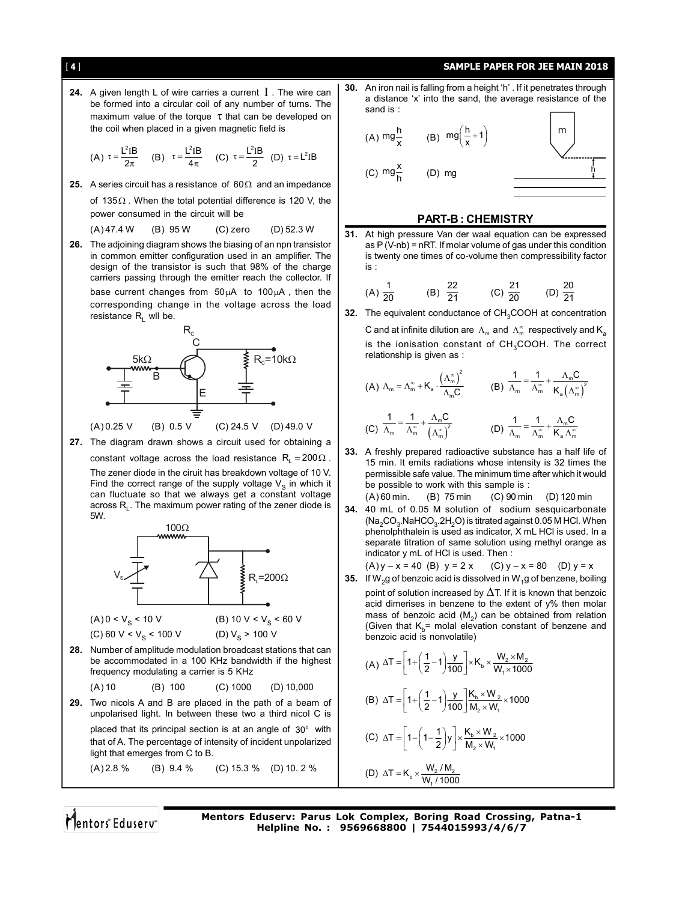### [ 4 ] **SAMPLE PAPER FOR JEE MAIN 2018**

**24.** A given length L of wire carries a current  $I$ . The wire can be formed into a circular coil of any number of turns. The maximum value of the torque  $\tau$  that can be developed on the coil when placed in a given magnetic field is

(A) 
$$
\tau = \frac{L^2IB}{2\pi}
$$
 (B)  $\tau = \frac{L^2IB}{4\pi}$  (C)  $\tau = \frac{L^2IB}{2}$  (D)  $\tau = L^2IB$ 

**25.** A series circuit has a resistance of  $60\Omega$  and an impedance

of 135 $\Omega$ . When the total potential difference is 120 V, the power consumed in the circuit will be

(A) 47.4 W (B) 95 W (C) zero (D) 52.3 W

**26.** The adjoining diagram shows the biasing of an npn transistor in common emitter configuration used in an amplifier. The design of the transistor is such that 98% of the charge carriers passing through the emitter reach the collector. If base current changes from  $50 \mu A$  to  $100 \mu A$ , then the

corresponding change in the voltage across the load resistance  $R_1$  wll be.



**27.** The diagram drawn shows a circuit used for obtaining a

constant voltage across the load resistance  $R_1 = 200 \Omega$ .

The zener diode in the ciruit has breakdown voltage of 10 V. Find the correct range of the supply voltage  $V<sub>s</sub>$  in which it can fluctuate so that we always get a constant voltage across  $R_1$ . The maximum power rating of the zener diode is 5W.



**29.** Two nicols A and B are placed in the path of a beam of unpolarised light. In between these two a third nicol C is placed that its principal section is at an angle of  $30^{\circ}$  with that of A. The percentage of intensity of incident unpolarized light that emerges from C to B. (A) 2.8 % (B) 9.4 % (C) 15.3 % (D) 10. 2 %

**30.** An iron nail is falling from a height 'h' . If it penetrates through a distance 'x' into the sand, the average resistance of the sand is :

(A) 
$$
mg\frac{h}{x}
$$
 (B)  $mg\left(\frac{h}{x}+1\right)$  (C)  $mg\frac{x}{h}$  (D)  $mg$  (D)  $mg$  (E)  $\frac{h}{h}$ 

### **PART-B : CHEMISTRY**

**31.** At high pressure Van der waal equation can be expressed as P (V-nb) = nRT. If molar volume of gas under this condition is twenty one times of co-volume then compressibility factor is :

(A) 
$$
\frac{1}{20}
$$
 (B)  $\frac{22}{21}$  (C)  $\frac{21}{20}$  (D)  $\frac{20}{21}$ 

**32.** The equivalent conductance of CH<sub>3</sub>COOH at concentration

C and at infinite dilution are  $\Lambda_m$  and  $\Lambda_m^{\infty}$  respectively and K<sub>a</sub> is the ionisation constant of  $CH<sub>3</sub>COOH$ . The correct relationship is given as :

(A) 
$$
\Lambda_m = \Lambda_m^{\infty} + K_a \cdot \frac{\left(\Lambda_m^{\infty}\right)^2}{\Lambda_m C}
$$
 (B)  $\frac{1}{\Lambda_m} = \frac{1}{\Lambda_m^{\infty}} + \frac{\Lambda_m C}{K_a \left(\Lambda_m^{\infty}\right)^2}$   
(C)  $\frac{1}{\Lambda_m} = \frac{1}{\Lambda_m^{\infty}} + \frac{\Lambda_m C}{\left(\Lambda_m^{\infty}\right)^2}$  (D)  $\frac{1}{\Lambda_m} = \frac{1}{\Lambda_m^{\infty}} + \frac{\Lambda_m C}{K_a \Lambda_m^{\infty}}$ 

- (C)  $\frac{1}{\Lambda_m} = \frac{1}{\Lambda_m^{\infty}} + \frac{\Lambda_m^{\infty}}{(\Lambda_m^{\infty})^2}$ **33.** A freshly prepared radioactive substance has a half life of
- 15 min. It emits radiations whose intensity is 32 times the permissible safe value. The minimum time after which it would be possible to work with this sample is :
- (A) 60 min. (B) 75 min (C) 90 min (D) 120 min **34.** 40 mL of 0.05 M solution of sodium sesquicarbonate  $(Na<sub>2</sub>CO<sub>3</sub>.NaHCO<sub>3</sub>·2H<sub>2</sub>O)$  is titrated against 0.05 M HCl. When phenolphthalein is used as indicator, X mL HCl is used. In a separate titration of same solution using methyl orange as indicator y mL of HCl is used. Then :

(A) 
$$
y - x = 40
$$
 (B)  $y = 2x$  (C)  $y - x = 80$  (D)  $y = x$ 

**35.** If W<sub>2</sub>g of benzoic acid is dissolved in W<sub>1</sub>g of benzene, boiling point of solution increased by  $\Delta T$ . If it is known that benzoic acid dimerises in benzene to the extent of y% then molar mass of benzoic acid  $(M_2)$  can be obtained from relation (Given that  $K_b$ = molal elevation constant of benzene and benzoic acid is nonvolatile)

$$
(A) \Delta T = \left[1 + \left(\frac{1}{2} - 1\right) \frac{y}{100}\right] \times K_b \times \frac{W_2 \times M_2}{W_1 \times 1000}
$$

(B) 
$$
\Delta T = \left[1 + \left(\frac{1}{2} - 1\right) \frac{y}{100}\right] \frac{K_b \times W_2}{M_2 \times W_1} \times 1000
$$

(C) 
$$
\Delta T = \left[1 - \left(1 - \frac{1}{2}\right)y\right] \times \frac{K_b \times W_2}{M_2 \times W_1} \times 1000
$$

(D) 
$$
\Delta T = K_b \times \frac{W_2 / M_2}{W_1 / 1000}
$$

Mentors Eduserv

**Mentors Eduserv: Parus Lok Complex, Boring Road Crossing, Patna-1 Helpline No. : 9569668800 | 7544015993/4/6/7**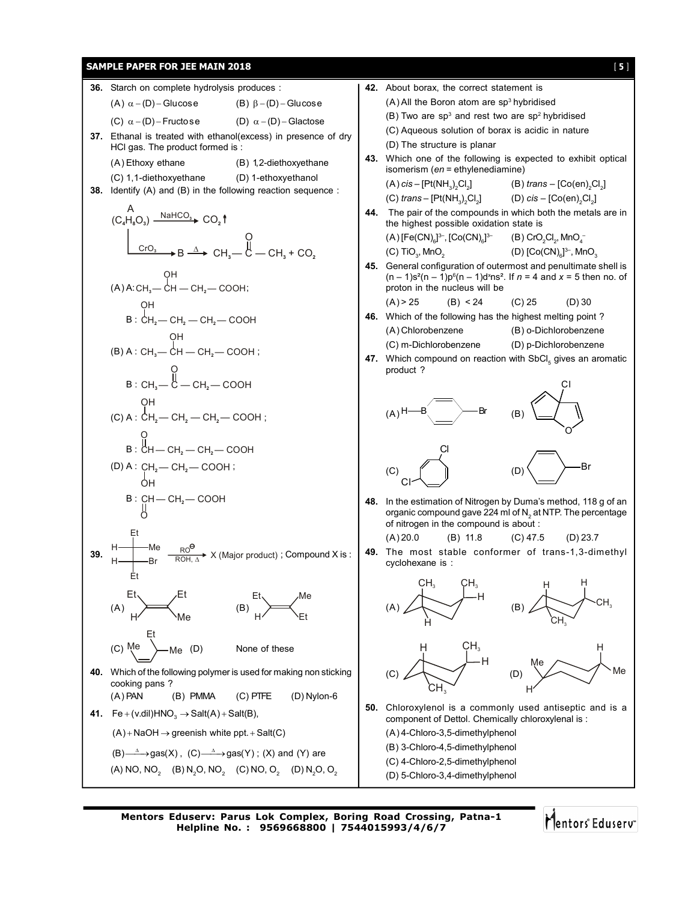

**Mentors Eduserv: Parus Lok Complex, Boring Road Crossing, Patna-1 Helpline No. : 9569668800 | 7544015993/4/6/7**

Mentors Eduserv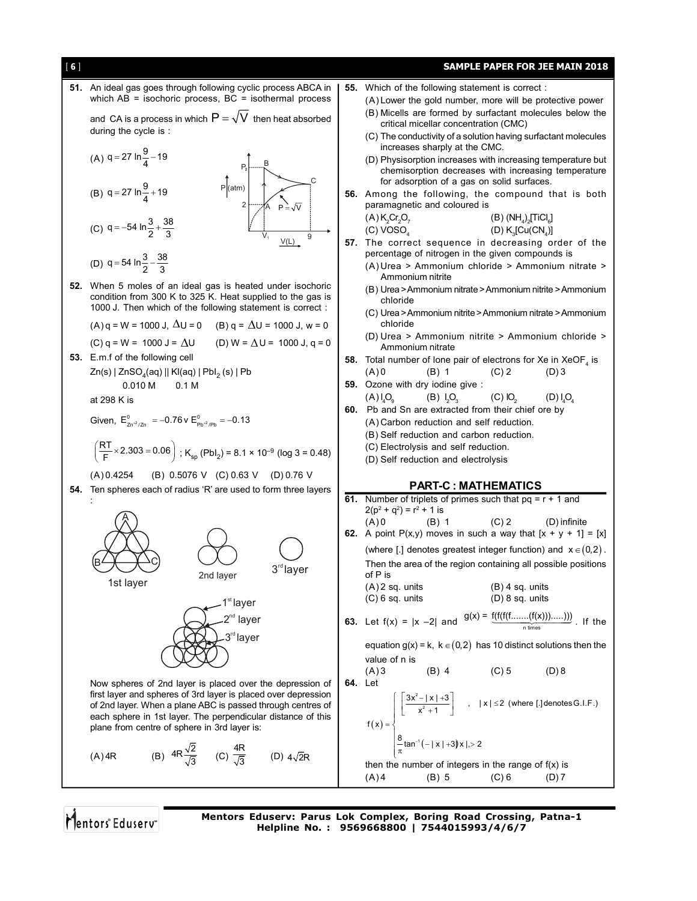

Mentors Eduserv

**Mentors Eduserv: Parus Lok Complex, Boring Road Crossing, Patna-1 Helpline No. : 9569668800 | 7544015993/4/6/7**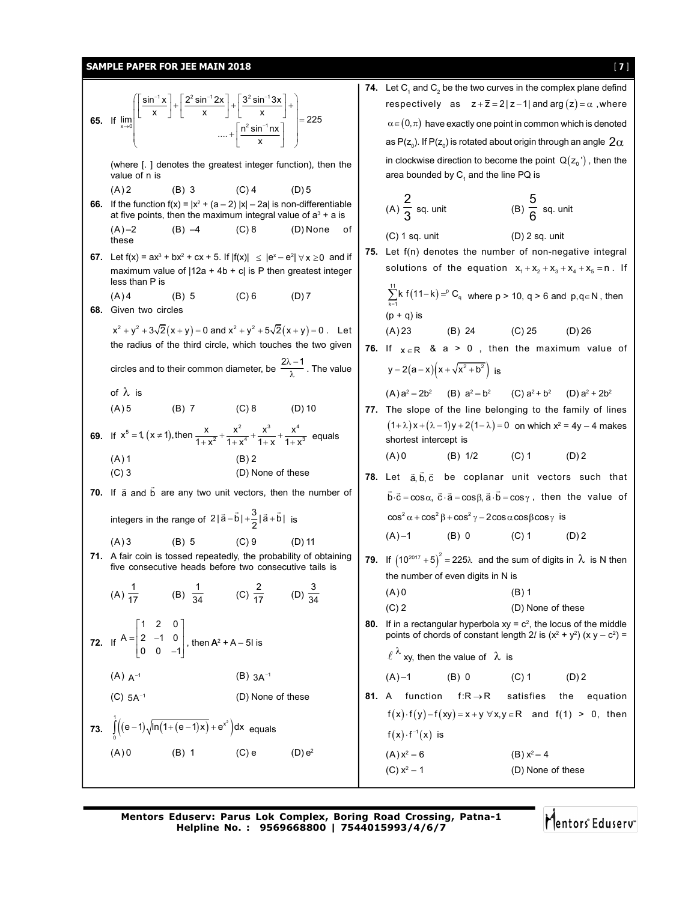# **SAMPLE PAPER FOR JEE MAIN 2018** [ 7 ]

**65.** If  $1\sqrt{2}$   $\sqrt{2}$  cin<sup>-1</sup> 2 $\sqrt{2}$   $\sqrt{2}$  cin<sup>-1</sup>  $x \rightarrow 0$   $\boxed{\mathbf{n}^2 \sin^{-1}}$  $\left.\begin{matrix} \mathsf{sin}^{-1} \mathsf{x} \end{matrix}\right|$   $\left.\begin{matrix} 2^{\mathsf{2}} \mathsf{sin}^{-1} \mathsf{2x} \end{matrix}\right|$   $\left.\begin{matrix} 3^{\mathsf{2}} \mathsf{sin}^{-1} \mathsf{3x} \end{matrix}\right|$  $\lim_{\left| \begin{matrix} \begin{bmatrix} 1 \end{bmatrix} \begin{bmatrix} 1 \end{bmatrix} \begin{bmatrix} 1 \end{bmatrix} \begin{bmatrix} 1 \end{bmatrix} \begin{bmatrix} 1 \end{bmatrix} \begin{bmatrix} 1 \end{bmatrix} \begin{bmatrix} 2 \end{bmatrix} \begin{bmatrix} 2 \end{bmatrix} \begin{bmatrix} 2 \end{bmatrix} \begin{bmatrix} 2 \end{bmatrix} \begin{bmatrix} 2 \end{bmatrix} \begin{bmatrix} 2 \end{bmatrix}$  $\cdots + \frac{n^2 \sin^{-1} nx}{x}$  $-1$  v  $\top$   $\Gamma$  2<sup>2</sup> cin $-1$  2v  $\top$   $\top$  2<sup>2</sup> cin $^{-1}$  $\rightarrow$ <sup>0</sup>  $\mid$  n<sup>2</sup> cin<sup>-</sup>  $\left( \left\lceil \frac{\sin^{-1} x}{x} \right\rceil + \left\lceil \frac{2^2 \sin^{-1} 2x}{x} \right\rceil + \left\lceil \frac{3^2 \sin^{-1} 3x}{x} \right\rceil + \right)$  $\left[\begin{array}{cccc} x & y & z & x \\ & & \dots & \\ & & & \dots \\ & & & & \dots \end{array}\right] =$ (where [. ] denotes the greatest integer function), then the value of n is  $(A) 2$  (B) 3 (C) 4 (D) 5 **66.** If the function  $f(x) = |x^2 + (a - 2)|x| - 2a$  is non-differentiable at five points, then the maximum integral value of  $a<sup>3</sup> + a$  is  $(A) -2$  (B)  $-4$  (C) 8 (D) None of these **67.** Let  $f(x) = ax^3 + bx^2 + cx + 5$ . If  $|f(x)| \le |e^x - e^2| \forall x \ge 0$  and if maximum value of  $|12a + 4b + c|$  is P then greatest integer less than P is  $(A) 4$  (B) 5 (C) 6 (D) 7 **68.** Given two circles  $x^{2} + y^{2} + 3\sqrt{2}(x + y) = 0$  and  $x^{2} + y^{2} + 5\sqrt{2}(x + y) = 0$ . Let the radius of the third circle, which touches the two given circles and to their common diameter, be  $\frac{2\lambda-1}{\lambda}$  . The value of  $\lambda$  is  $(A) 5$  (B) 7 (C) 8 (D) 10 **69.** If  $x^5 = 1$ ,  $(x \ne 1)$ , then  $\frac{x}{1+x^2} + \frac{x^2}{1+x^4} + \frac{x^3}{1+x} + \frac{x^4}{1+x^3}$  equals  $(A) 1$  (B) 2 (C) 3 (D) None of these **70.** If  $\vec{a}$  and  $\vec{b}$  are any two unit vectors, then the number of integers in the range of  $2|\vec{a}-\vec{b}|+\frac{3}{2}|\vec{a}+\vec{b}|$  is  $(A) 3$  (B) 5 (C) 9 (D) 11 **71.** A fair coin is tossed repeatedly, the probability of obtaining five consecutive heads before two consecutive tails is (A)  $\frac{1}{17}$  (B)  $\frac{1}{34}$  (C)  $\frac{2}{17}$  (D)  $\frac{3}{34}$ 34 **72.** If 1 2 0  $A = | 2 -1 0$  $0 \t 0 \t -1$  $=\begin{vmatrix} 1 & 2 & 0 \\ 2 & -1 & 0 \end{vmatrix}$  $\begin{bmatrix} 2 & 1 & 0 \\ 0 & 0 & -1 \end{bmatrix}$ , then  $A^2 + A - 5I$  is (A)  $A^{-1}$  (B)  $3A^{-1}$ (C)  $5A^{-1}$  (D) None of these **73.**  $\int_{0}^{1} ((e-1)\sqrt{\ln(1+(e-1)x)}+e^{x^2}) dx$  equals 0 (A) 0 (B) 1 (C) e (D)  $e^2$ **74.** Let  $C_1$  and  $C_2$  be the two curves in the complex plane defind respectively as  $z + \overline{z} = 2|z-1|$  and arg  $(z) = \alpha$ , where  $\alpha \in (0, \pi)$  have exactly one point in common which is denoted as P(z $_{\rm 0}$ ). If P(z $_{\rm 0}$ ) is rotated about origin through an angle  $\,2\alpha$ in clockwise direction to become the point  $Q(z_0)$ , then the area bounded by  $\mathsf{C}_1$  and the line PQ is  $(A)$  $\frac{2}{2}$  $\overline{3}$  sq. unit (B) 5  $\overline{6}$  sq. unit  $(C)$  1 sq. unit  $(D)$  2 sq. unit **75.** Let f(n) denotes the number of non-negative integral solutions of the equation  $x_1 + x_2 + x_3 + x_4 + x_5 = n$ . If  $\sum_{k=1}^{11} k f(11-k) = ^pC_q$  where p > 10, q > 6 and p,q ∈ N, then  $(p + q)$  is (A) 23 (B) 24 (C) 25 (D) 26 **76.** If  $x \in R$  &  $a > 0$ , then the maximum value of  $y = 2(a-x)(x + \sqrt{x^2 + b^2})$  is  $(A)$  a<sup>2</sup> - 2b<sup>2</sup> (B) a<sup>2</sup> - b<sup>2</sup> (C) a<sup>2</sup> + b<sup>2</sup> (D) a<sup>2</sup>  $(D)$  a<sup>2</sup> + 2b<sup>2</sup> **77.** The slope of the line belonging to the family of lines  $(1+\lambda)x+(\lambda-1)y+2(1-\lambda)=0$  on which  $x^2=4y-4$  makes shortest intercept is  $(A) 0$  (B) 1/2 (C) 1 (D) 2 78. Let a, b, c be coplanar unit vectors such that  $\vec{b} \cdot \vec{c} = \cos \alpha$ ,  $\vec{c} \cdot \vec{a} = \cos \beta$ ,  $\vec{a} \cdot \vec{b} = \cos \gamma$  , then the value of  $\cos^2 \alpha + \cos^2 \beta + \cos^2 \gamma - 2\cos \alpha \cos \beta \cos \gamma$  is  $(A) -1$  (B) 0 (C) 1 (D) 2 **79.** If  $(10^{2017} + 5)^2 = 225\lambda$  and the sum of digits in  $\lambda$  is N then the number of even digits in N is  $(A) 0$  (B) 1 (C) 2 (D) None of these **80.** If in a rectangular hyperbola  $xy = c^2$ , the locus of the middle points of chords of constant length 2*l* is  $(x^2 + y^2)$  (x  $y - c^2$ ) =  $\ell^{\lambda}$  xy, then the value of  $\lambda$  is  $(A) -1$  (B) 0 (C) 1 (D) 2 **81.** A function  $f:R\rightarrow R$  satisfies the equation  $f(x) \cdot f(y) - f(xy) = x + y \forall x, y \in \mathbb{R}$  and  $f(1) > 0$ , then  $f(x) \cdot f^{-1}(x)$  is  $(A) x<sup>2</sup> - 6$ (B)  $x^2 - 4$ (C)  $x^2 - 1$ (D) None of these

**Mentors Eduserv: Parus Lok Complex, Boring Road Crossing, Patna-1 Helpline No. : 9569668800 | 7544015993/4/6/7**

Mentors Eduserv